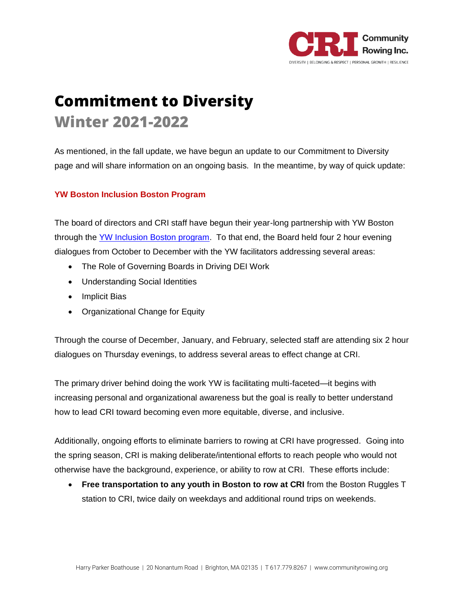

## **Commitment to Diversity Winter 2021-2022**

As mentioned, in the fall update, we have begun an update to our Commitment to Diversity page and will share information on an ongoing basis. In the meantime, by way of quick update:

## **YW Boston Inclusion Boston Program**

The board of directors and CRI staff have begun their year-long partnership with YW Boston through the [YW Inclusion Boston program.](https://www.ywboston.org/our-work/inclusionboston/) To that end, the Board held four 2 hour evening dialogues from October to December with the YW facilitators addressing several areas:

- The Role of Governing Boards in Driving DEI Work
- Understanding Social Identities
- Implicit Bias
- Organizational Change for Equity

Through the course of December, January, and February, selected staff are attending six 2 hour dialogues on Thursday evenings, to address several areas to effect change at CRI.

The primary driver behind doing the work YW is facilitating multi-faceted—it begins with increasing personal and organizational awareness but the goal is really to better understand how to lead CRI toward becoming even more equitable, diverse, and inclusive.

Additionally, ongoing efforts to eliminate barriers to rowing at CRI have progressed. Going into the spring season, CRI is making deliberate/intentional efforts to reach people who would not otherwise have the background, experience, or ability to row at CRI. These efforts include:

• **Free transportation to any youth in Boston to row at CRI** from the Boston Ruggles T station to CRI, twice daily on weekdays and additional round trips on weekends.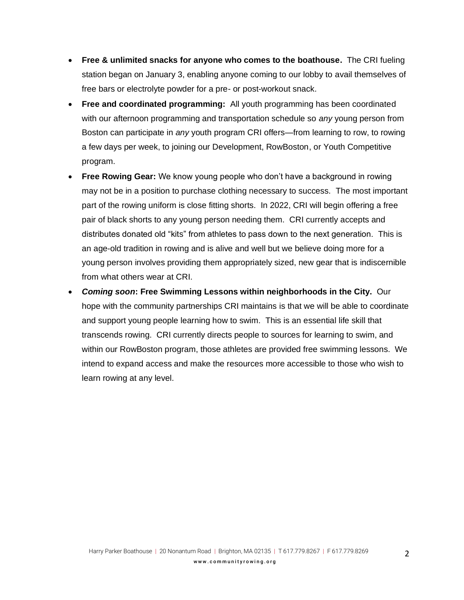- **Free & unlimited snacks for anyone who comes to the boathouse.** The CRI fueling station began on January 3, enabling anyone coming to our lobby to avail themselves of free bars or electrolyte powder for a pre- or post-workout snack.
- **Free and coordinated programming:** All youth programming has been coordinated with our afternoon programming and transportation schedule so *any* young person from Boston can participate in *any* youth program CRI offers—from learning to row, to rowing a few days per week, to joining our Development, RowBoston, or Youth Competitive program.
- **Free Rowing Gear:** We know young people who don't have a background in rowing may not be in a position to purchase clothing necessary to success. The most important part of the rowing uniform is close fitting shorts. In 2022, CRI will begin offering a free pair of black shorts to any young person needing them. CRI currently accepts and distributes donated old "kits" from athletes to pass down to the next generation. This is an age-old tradition in rowing and is alive and well but we believe doing more for a young person involves providing them appropriately sized, new gear that is indiscernible from what others wear at CRI.
- *Coming soon***: Free Swimming Lessons within neighborhoods in the City.** Our hope with the community partnerships CRI maintains is that we will be able to coordinate and support young people learning how to swim. This is an essential life skill that transcends rowing. CRI currently directs people to sources for learning to swim, and within our RowBoston program, those athletes are provided free swimming lessons. We intend to expand access and make the resources more accessible to those who wish to learn rowing at any level.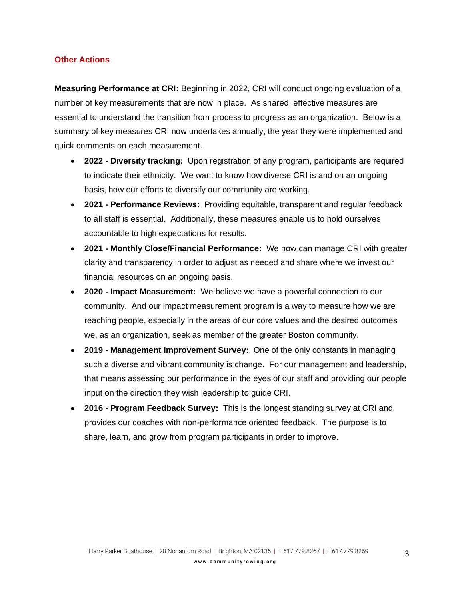## **Other Actions**

**Measuring Performance at CRI:** Beginning in 2022, CRI will conduct ongoing evaluation of a number of key measurements that are now in place. As shared, effective measures are essential to understand the transition from process to progress as an organization. Below is a summary of key measures CRI now undertakes annually, the year they were implemented and quick comments on each measurement.

- **2022 - Diversity tracking:** Upon registration of any program, participants are required to indicate their ethnicity. We want to know how diverse CRI is and on an ongoing basis, how our efforts to diversify our community are working.
- **2021 - Performance Reviews:** Providing equitable, transparent and regular feedback to all staff is essential. Additionally, these measures enable us to hold ourselves accountable to high expectations for results.
- **2021 - Monthly Close/Financial Performance:** We now can manage CRI with greater clarity and transparency in order to adjust as needed and share where we invest our financial resources on an ongoing basis.
- **2020 - Impact Measurement:** We believe we have a powerful connection to our community. And our impact measurement program is a way to measure how we are reaching people, especially in the areas of our core values and the desired outcomes we, as an organization, seek as member of the greater Boston community.
- **2019 - Management Improvement Survey:** One of the only constants in managing such a diverse and vibrant community is change. For our management and leadership, that means assessing our performance in the eyes of our staff and providing our people input on the direction they wish leadership to guide CRI.
- **2016 - Program Feedback Survey:** This is the longest standing survey at CRI and provides our coaches with non-performance oriented feedback. The purpose is to share, learn, and grow from program participants in order to improve.